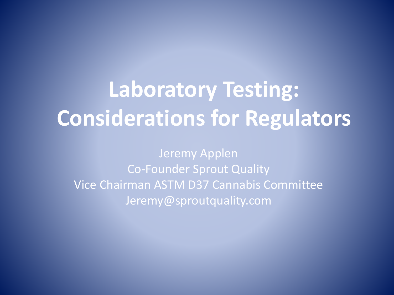### **Laboratory Testing: Considerations for Regulators**

Jeremy Applen Co-Founder Sprout Quality Vice Chairman ASTM D37 Cannabis Committee Jeremy@sproutquality.com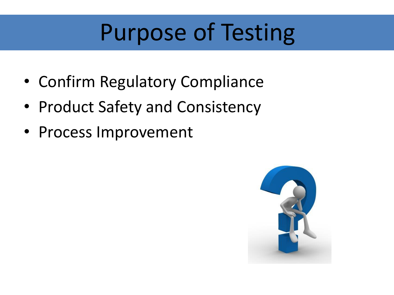## Purpose of Testing

- Confirm Regulatory Compliance
- Product Safety and Consistency
- Process Improvement

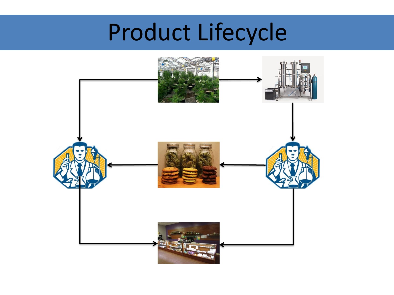## Product Lifecycle

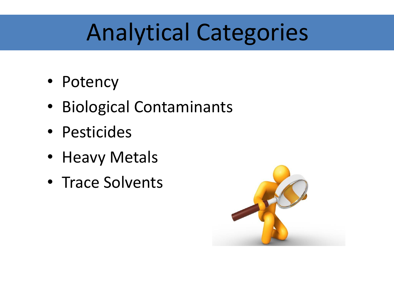### Analytical Categories

- Potency
- Biological Contaminants
- Pesticides
- Heavy Metals
- Trace Solvents

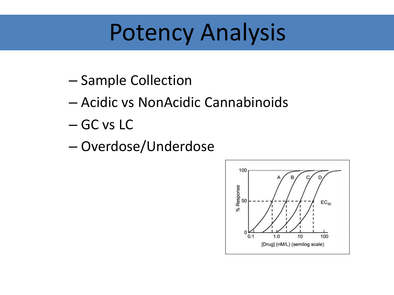### Potency Analysis

- Sample Collection
- Acidic vs NonAcidic Cannabinoids
- GC vs LC
- Overdose/Underdose

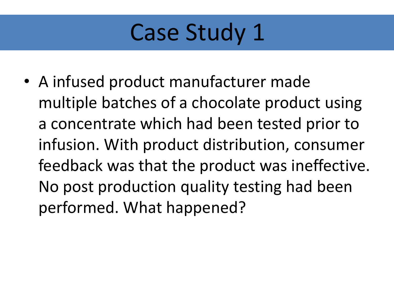• A infused product manufacturer made multiple batches of a chocolate product using a concentrate which had been tested prior to infusion. With product distribution, consumer feedback was that the product was ineffective. No post production quality testing had been performed. What happened?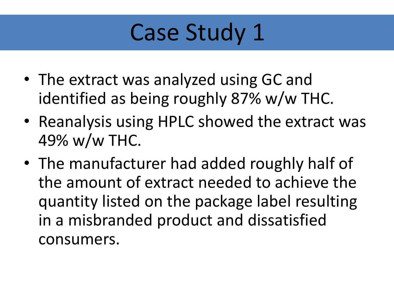- The extract was analyzed using GC and identified as being roughly 87% w/w THC.
- Reanalysis using HPLC showed the extract was 49% w/w THC.
- The manufacturer had added roughly half of the amount of extract needed to achieve the quantity listed on the package label resulting in a misbranded product and dissatisfied consumers.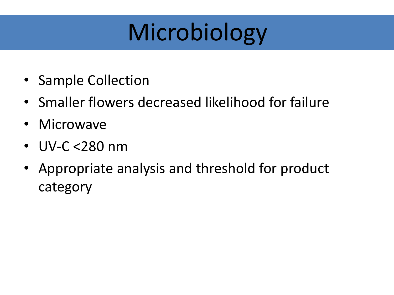# Microbiology

- Sample Collection
- Smaller flowers decreased likelihood for failure
- Microwave
- UV-C <280 nm
- Appropriate analysis and threshold for product category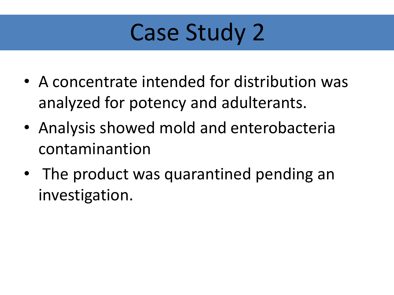- A concentrate intended for distribution was analyzed for potency and adulterants.
- Analysis showed mold and enterobacteria contaminantion
- The product was quarantined pending an investigation.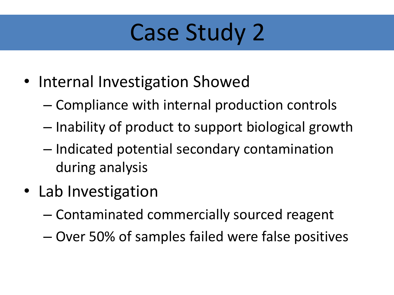- Internal Investigation Showed
	- Compliance with internal production controls
	- Inability of product to support biological growth
	- Indicated potential secondary contamination during analysis
- Lab Investigation
	- Contaminated commercially sourced reagent
	- Over 50% of samples failed were false positives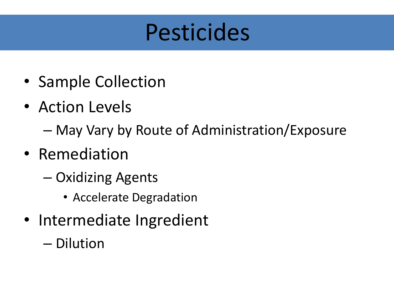#### Pesticides

- Sample Collection
- Action Levels
	- May Vary by Route of Administration/Exposure
- Remediation
	- Oxidizing Agents
		- Accelerate Degradation
- Intermediate Ingredient
	- Dilution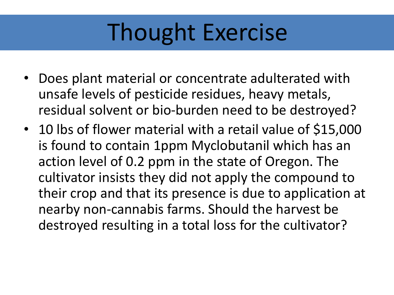### Thought Exercise

- Does plant material or concentrate adulterated with unsafe levels of pesticide residues, heavy metals, residual solvent or bio-burden need to be destroyed?
- 10 lbs of flower material with a retail value of \$15,000 is found to contain 1ppm Myclobutanil which has an action level of 0.2 ppm in the state of Oregon. The cultivator insists they did not apply the compound to their crop and that its presence is due to application at nearby non-cannabis farms. Should the harvest be destroyed resulting in a total loss for the cultivator?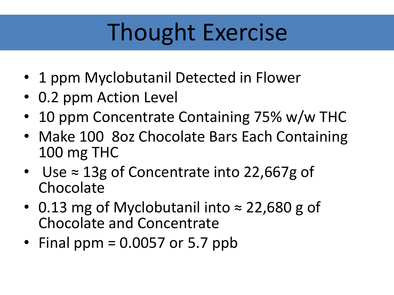## Thought Exercise

- 1 ppm Myclobutanil Detected in Flower
- 0.2 ppm Action Level
- 10 ppm Concentrate Containing 75% w/w THC
- Make 100 80z Chocolate Bars Each Containing 100 mg THC
- Use ≈ 13g of Concentrate into 22,667g of Chocolate
- 0.13 mg of Myclobutanil into ≈ 22,680 g of Chocolate and Concentrate
- Final ppm =  $0.0057$  or 5.7 ppb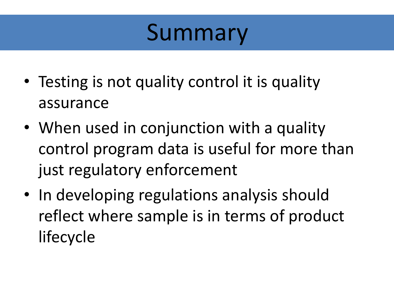#### Summary

- Testing is not quality control it is quality assurance
- When used in conjunction with a quality control program data is useful for more than just regulatory enforcement
- In developing regulations analysis should reflect where sample is in terms of product lifecycle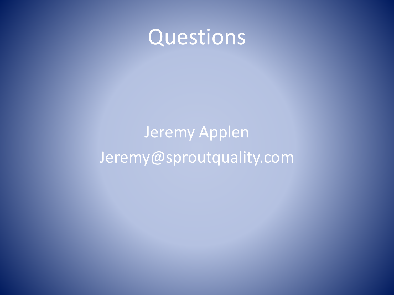

#### Jeremy Applen Jeremy@sproutquality.com